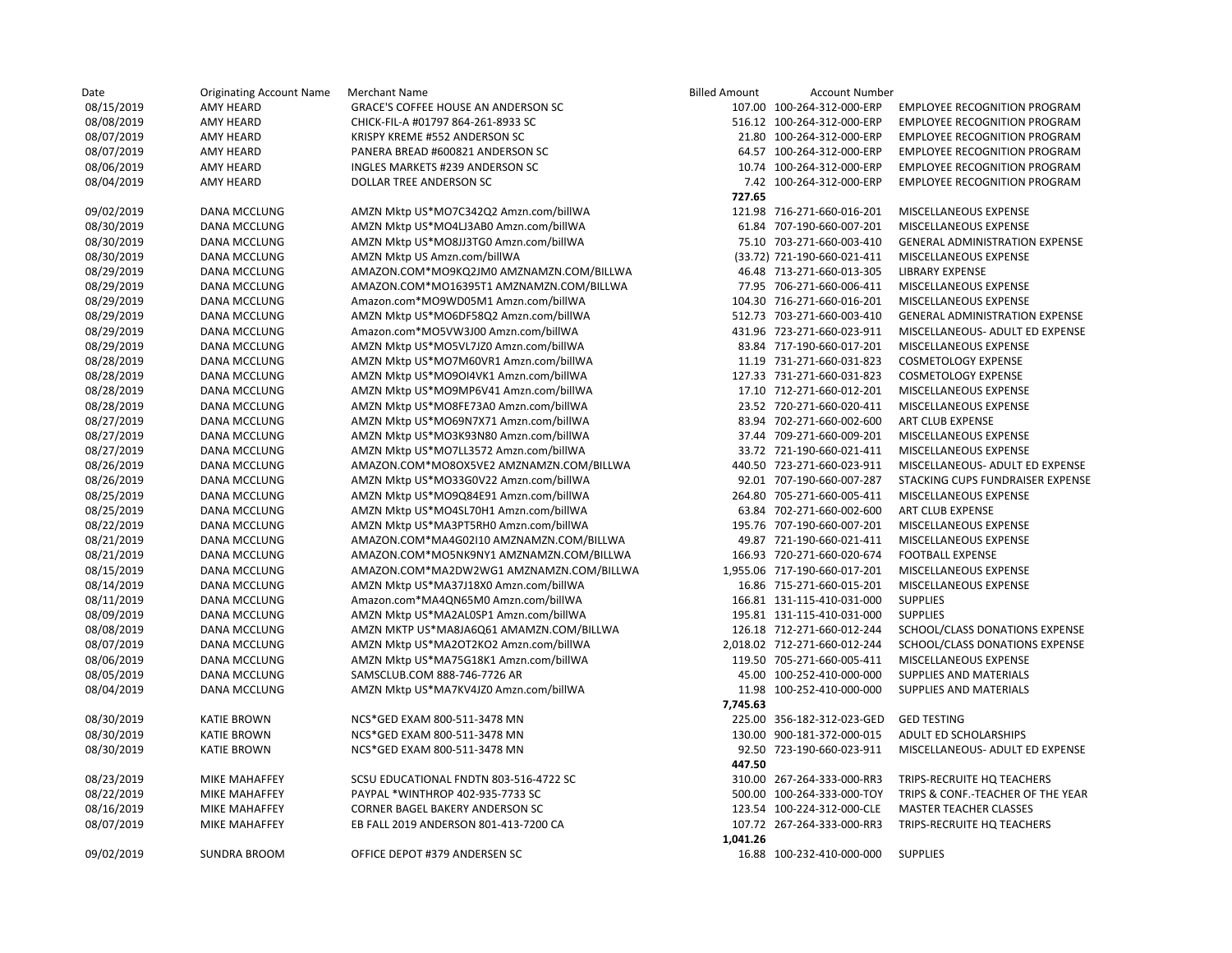| Date       | <b>Originating Account Name</b> | Merchant Name                            | <b>Billed Amount</b> | <b>Account Number</b>        |                                       |
|------------|---------------------------------|------------------------------------------|----------------------|------------------------------|---------------------------------------|
| 08/15/2019 | <b>AMY HEARD</b>                | GRACE'S COFFEE HOUSE AN ANDERSON SC      |                      | 107.00 100-264-312-000-ERP   | <b>EMPLOYEE RECOGNITION PROGRAM</b>   |
| 08/08/2019 | AMY HEARD                       | CHICK-FIL-A #01797 864-261-8933 SC       |                      | 516.12 100-264-312-000-ERP   | <b>EMPLOYEE RECOGNITION PROGRAM</b>   |
| 08/07/2019 | AMY HEARD                       | KRISPY KREME #552 ANDERSON SC            |                      | 21.80 100-264-312-000-ERP    | <b>EMPLOYEE RECOGNITION PROGRAM</b>   |
| 08/07/2019 | <b>AMY HEARD</b>                | PANERA BREAD #600821 ANDERSON SC         |                      | 64.57 100-264-312-000-ERP    | <b>EMPLOYEE RECOGNITION PROGRAM</b>   |
| 08/06/2019 | <b>AMY HEARD</b>                | INGLES MARKETS #239 ANDERSON SC          |                      | 10.74 100-264-312-000-ERP    | <b>EMPLOYEE RECOGNITION PROGRAM</b>   |
| 08/04/2019 | AMY HEARD                       | DOLLAR TREE ANDERSON SC                  |                      | 7.42 100-264-312-000-ERP     | <b>EMPLOYEE RECOGNITION PROGRAM</b>   |
|            |                                 |                                          | 727.65               |                              |                                       |
| 09/02/2019 | DANA MCCLUNG                    | AMZN Mktp US*MO7C342Q2 Amzn.com/billWA   |                      | 121.98 716-271-660-016-201   | MISCELLANEOUS EXPENSE                 |
| 08/30/2019 | DANA MCCLUNG                    | AMZN Mktp US*MO4LJ3AB0 Amzn.com/billWA   |                      | 61.84 707-190-660-007-201    | MISCELLANEOUS EXPENSE                 |
| 08/30/2019 | <b>DANA MCCLUNG</b>             | AMZN Mktp US*MO8JJ3TG0 Amzn.com/billWA   |                      | 75.10 703-271-660-003-410    | <b>GENERAL ADMINISTRATION EXPENSE</b> |
| 08/30/2019 | DANA MCCLUNG                    | AMZN Mktp US Amzn.com/billWA             |                      | (33.72) 721-190-660-021-411  | <b>MISCELLANEOUS EXPENSE</b>          |
| 08/29/2019 | DANA MCCLUNG                    | AMAZON.COM*MO9KQ2JM0 AMZNAMZN.COM/BILLWA |                      | 46.48 713-271-660-013-305    | <b>LIBRARY EXPENSE</b>                |
| 08/29/2019 | DANA MCCLUNG                    | AMAZON.COM*MO16395T1 AMZNAMZN.COM/BILLWA |                      | 77.95 706-271-660-006-411    | MISCELLANEOUS EXPENSE                 |
| 08/29/2019 | <b>DANA MCCLUNG</b>             | Amazon.com*MO9WD05M1 Amzn.com/billWA     |                      | 104.30 716-271-660-016-201   | MISCELLANEOUS EXPENSE                 |
| 08/29/2019 | DANA MCCLUNG                    | AMZN Mktp US*MO6DF58Q2 Amzn.com/billWA   |                      | 512.73 703-271-660-003-410   | <b>GENERAL ADMINISTRATION EXPENSE</b> |
| 08/29/2019 | DANA MCCLUNG                    | Amazon.com*MO5VW3J00 Amzn.com/billWA     |                      | 431.96 723-271-660-023-911   | MISCELLANEOUS- ADULT ED EXPENSE       |
| 08/29/2019 | DANA MCCLUNG                    | AMZN Mktp US*MO5VL7JZ0 Amzn.com/billWA   |                      | 83.84 717-190-660-017-201    | MISCELLANEOUS EXPENSE                 |
| 08/28/2019 | DANA MCCLUNG                    | AMZN Mktp US*MO7M60VR1 Amzn.com/billWA   |                      | 11.19 731-271-660-031-823    | <b>COSMETOLOGY EXPENSE</b>            |
| 08/28/2019 | DANA MCCLUNG                    | AMZN Mktp US*MO9OI4VK1 Amzn.com/billWA   |                      | 127.33 731-271-660-031-823   | <b>COSMETOLOGY EXPENSE</b>            |
| 08/28/2019 | DANA MCCLUNG                    | AMZN Mktp US*MO9MP6V41 Amzn.com/billWA   |                      | 17.10 712-271-660-012-201    | MISCELLANEOUS EXPENSE                 |
| 08/28/2019 | DANA MCCLUNG                    | AMZN Mktp US*MO8FE73A0 Amzn.com/billWA   |                      | 23.52 720-271-660-020-411    | MISCELLANEOUS EXPENSE                 |
| 08/27/2019 | DANA MCCLUNG                    | AMZN Mktp US*MO69N7X71 Amzn.com/billWA   |                      | 83.94 702-271-660-002-600    | ART CLUB EXPENSE                      |
| 08/27/2019 | DANA MCCLUNG                    | AMZN Mktp US*MO3K93N80 Amzn.com/billWA   |                      | 37.44 709-271-660-009-201    | MISCELLANEOUS EXPENSE                 |
| 08/27/2019 | DANA MCCLUNG                    | AMZN Mktp US*MO7LL3572 Amzn.com/billWA   |                      | 33.72 721-190-660-021-411    | MISCELLANEOUS EXPENSE                 |
| 08/26/2019 | DANA MCCLUNG                    | AMAZON.COM*MO8OX5VE2 AMZNAMZN.COM/BILLWA |                      | 440.50 723-271-660-023-911   | MISCELLANEOUS- ADULT ED EXPENSE       |
| 08/26/2019 | DANA MCCLUNG                    | AMZN Mktp US*MO33G0V22 Amzn.com/billWA   |                      | 92.01 707-190-660-007-287    | STACKING CUPS FUNDRAISER EXPENSE      |
| 08/25/2019 | DANA MCCLUNG                    | AMZN Mktp US*MO9Q84E91 Amzn.com/billWA   |                      | 264.80 705-271-660-005-411   | MISCELLANEOUS EXPENSE                 |
| 08/25/2019 | DANA MCCLUNG                    | AMZN Mktp US*MO4SL70H1 Amzn.com/billWA   |                      | 63.84 702-271-660-002-600    | ART CLUB EXPENSE                      |
| 08/22/2019 | DANA MCCLUNG                    | AMZN Mktp US*MA3PT5RH0 Amzn.com/billWA   |                      | 195.76 707-190-660-007-201   | MISCELLANEOUS EXPENSE                 |
| 08/21/2019 | <b>DANA MCCLUNG</b>             | AMAZON.COM*MA4G02I10 AMZNAMZN.COM/BILLWA |                      | 49.87 721-190-660-021-411    | MISCELLANEOUS EXPENSE                 |
| 08/21/2019 | DANA MCCLUNG                    | AMAZON.COM*MO5NK9NY1 AMZNAMZN.COM/BILLWA |                      | 166.93 720-271-660-020-674   | <b>FOOTBALL EXPENSE</b>               |
| 08/15/2019 | DANA MCCLUNG                    | AMAZON.COM*MA2DW2WG1 AMZNAMZN.COM/BILLWA |                      | 1,955.06 717-190-660-017-201 | MISCELLANEOUS EXPENSE                 |
| 08/14/2019 | <b>DANA MCCLUNG</b>             | AMZN Mktp US*MA37J18X0 Amzn.com/billWA   |                      | 16.86 715-271-660-015-201    | MISCELLANEOUS EXPENSE                 |
| 08/11/2019 | DANA MCCLUNG                    | Amazon.com*MA4QN65M0 Amzn.com/billWA     |                      | 166.81 131-115-410-031-000   | <b>SUPPLIES</b>                       |
| 08/09/2019 | DANA MCCLUNG                    | AMZN Mktp US*MA2AL0SP1 Amzn.com/billWA   |                      | 195.81 131-115-410-031-000   | <b>SUPPLIES</b>                       |
| 08/08/2019 | DANA MCCLUNG                    | AMZN MKTP US*MA8JA6Q61 AMAMZN.COM/BILLWA |                      | 126.18 712-271-660-012-244   | SCHOOL/CLASS DONATIONS EXPENSE        |
| 08/07/2019 | DANA MCCLUNG                    | AMZN Mktp US*MA2OT2KO2 Amzn.com/billWA   |                      | 2,018.02 712-271-660-012-244 | SCHOOL/CLASS DONATIONS EXPENSE        |
| 08/06/2019 | DANA MCCLUNG                    | AMZN Mktp US*MA75G18K1 Amzn.com/billWA   |                      | 119.50 705-271-660-005-411   | MISCELLANEOUS EXPENSE                 |
| 08/05/2019 | DANA MCCLUNG                    | SAMSCLUB.COM 888-746-7726 AR             |                      | 45.00 100-252-410-000-000    | SUPPLIES AND MATERIALS                |
| 08/04/2019 | DANA MCCLUNG                    | AMZN Mktp US*MA7KV4JZ0 Amzn.com/billWA   |                      | 11.98 100-252-410-000-000    | SUPPLIES AND MATERIALS                |
|            |                                 |                                          | 7,745.63             |                              |                                       |
| 08/30/2019 | <b>KATIE BROWN</b>              | NCS*GED EXAM 800-511-3478 MN             |                      | 225.00 356-182-312-023-GED   | <b>GED TESTING</b>                    |
| 08/30/2019 | <b>KATIE BROWN</b>              | NCS*GED EXAM 800-511-3478 MN             |                      | 130.00 900-181-372-000-015   | ADULT ED SCHOLARSHIPS                 |
| 08/30/2019 | <b>KATIE BROWN</b>              | NCS*GED EXAM 800-511-3478 MN             |                      | 92.50 723-190-660-023-911    | MISCELLANEOUS- ADULT ED EXPENSE       |
|            |                                 |                                          | 447.50               |                              |                                       |
| 08/23/2019 | <b>MIKE MAHAFFEY</b>            | SCSU EDUCATIONAL FNDTN 803-516-4722 SC   |                      | 310.00 267-264-333-000-RR3   | TRIPS-RECRUITE HQ TEACHERS            |
| 08/22/2019 | <b>MIKE MAHAFFEY</b>            | PAYPAL *WINTHROP 402-935-7733 SC         |                      | 500.00 100-264-333-000-TOY   | TRIPS & CONF.-TEACHER OF THE YEAR     |
| 08/16/2019 | <b>MIKE MAHAFFEY</b>            | CORNER BAGEL BAKERY ANDERSON SC          |                      | 123.54 100-224-312-000-CLE   | <b>MASTER TEACHER CLASSES</b>         |
| 08/07/2019 | <b>MIKE MAHAFFEY</b>            | EB FALL 2019 ANDERSON 801-413-7200 CA    |                      | 107.72 267-264-333-000-RR3   | TRIPS-RECRUITE HQ TEACHERS            |
|            |                                 |                                          | 1,041.26             |                              |                                       |
| 09/02/2019 | <b>SUNDRA BROOM</b>             | OFFICE DEPOT #379 ANDERSEN SC            |                      | 16.88 100-232-410-000-000    | <b>SUPPLIES</b>                       |
|            |                                 |                                          |                      |                              |                                       |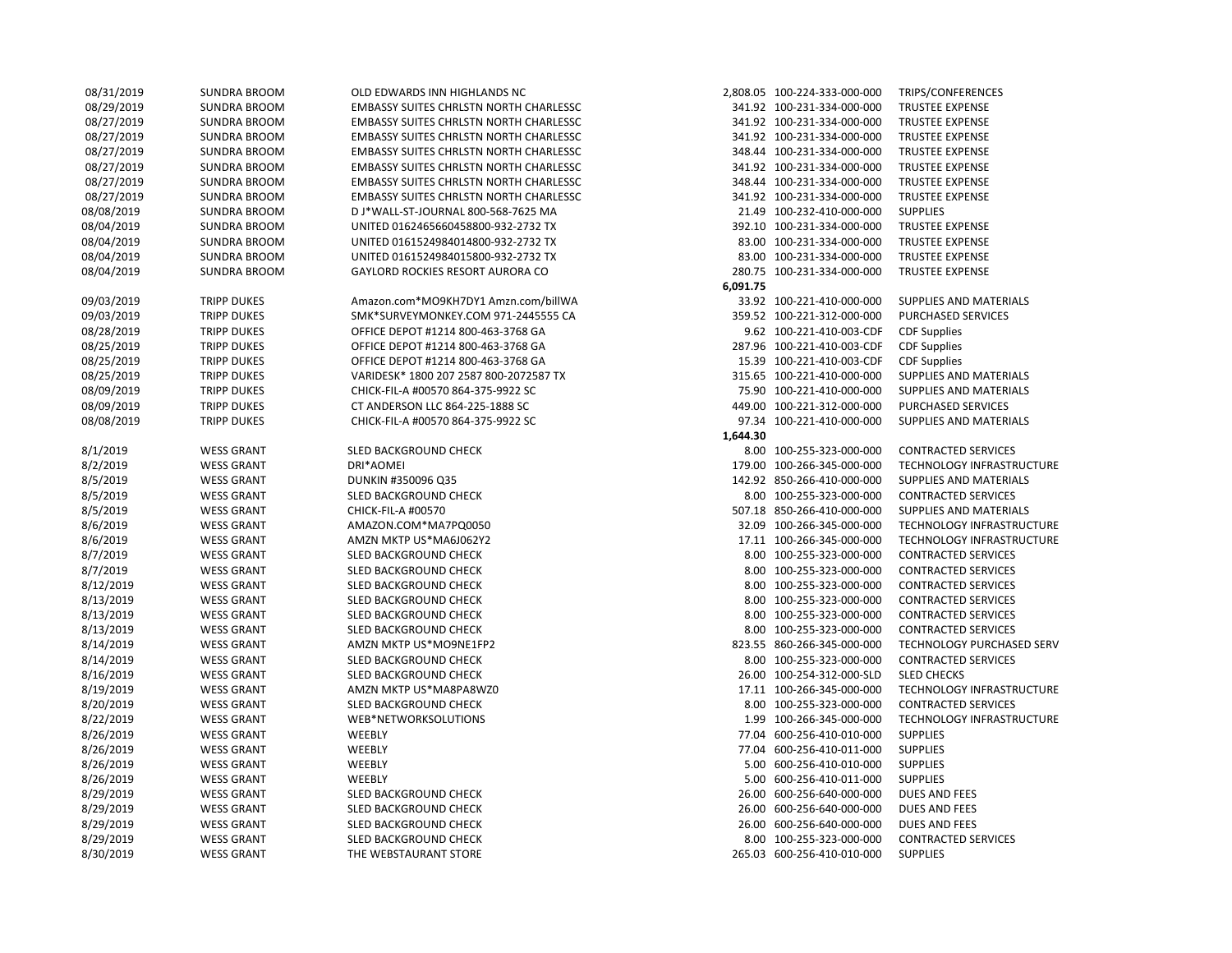| 08/31/2019 | SUNDRA BROOM        | OLD EDWARDS INN HIGHLANDS NC                  |          | 2,808.05 100-224-333-000-000 | TRIPS/CONFERENCES          |
|------------|---------------------|-----------------------------------------------|----------|------------------------------|----------------------------|
| 08/29/2019 | <b>SUNDRA BROOM</b> | <b>EMBASSY SUITES CHRLSTN NORTH CHARLESSC</b> |          | 341.92 100-231-334-000-000   | <b>TRUSTEE EXPENSE</b>     |
| 08/27/2019 | SUNDRA BROOM        | <b>EMBASSY SUITES CHRLSTN NORTH CHARLESSC</b> |          | 341.92 100-231-334-000-000   | <b>TRUSTEE EXPENSE</b>     |
| 08/27/2019 | <b>SUNDRA BROOM</b> | <b>EMBASSY SUITES CHRLSTN NORTH CHARLESSC</b> |          | 341.92 100-231-334-000-000   | <b>TRUSTEE EXPENSE</b>     |
| 08/27/2019 | SUNDRA BROOM        | <b>EMBASSY SUITES CHRLSTN NORTH CHARLESSC</b> |          | 348.44 100-231-334-000-000   | <b>TRUSTEE EXPENSE</b>     |
| 08/27/2019 | <b>SUNDRA BROOM</b> | <b>EMBASSY SUITES CHRLSTN NORTH CHARLESSC</b> |          | 341.92 100-231-334-000-000   | <b>TRUSTEE EXPENSE</b>     |
| 08/27/2019 | SUNDRA BROOM        | <b>EMBASSY SUITES CHRLSTN NORTH CHARLESSC</b> |          | 348.44 100-231-334-000-000   | <b>TRUSTEE EXPENSE</b>     |
| 08/27/2019 | <b>SUNDRA BROOM</b> | <b>EMBASSY SUITES CHRLSTN NORTH CHARLESSC</b> |          | 341.92 100-231-334-000-000   | TRUSTEE EXPENSE            |
| 08/08/2019 | <b>SUNDRA BROOM</b> | D J*WALL-ST-JOURNAL 800-568-7625 MA           |          | 21.49 100-232-410-000-000    | <b>SUPPLIES</b>            |
| 08/04/2019 | <b>SUNDRA BROOM</b> | UNITED 0162465660458800-932-2732 TX           |          | 392.10 100-231-334-000-000   | <b>TRUSTEE EXPENSE</b>     |
| 08/04/2019 | <b>SUNDRA BROOM</b> | UNITED 0161524984014800-932-2732 TX           |          | 83.00 100-231-334-000-000    | <b>TRUSTEE EXPENSE</b>     |
| 08/04/2019 | <b>SUNDRA BROOM</b> | UNITED 0161524984015800-932-2732 TX           |          | 83.00 100-231-334-000-000    | <b>TRUSTEE EXPENSE</b>     |
| 08/04/2019 | <b>SUNDRA BROOM</b> | <b>GAYLORD ROCKIES RESORT AURORA CO</b>       |          | 280.75 100-231-334-000-000   | <b>TRUSTEE EXPENSE</b>     |
|            |                     |                                               | 6,091.75 |                              |                            |
| 09/03/2019 | <b>TRIPP DUKES</b>  | Amazon.com*MO9KH7DY1 Amzn.com/billWA          |          | 33.92 100-221-410-000-000    | SUPPLIES AND MATERIALS     |
| 09/03/2019 | <b>TRIPP DUKES</b>  | SMK*SURVEYMONKEY.COM 971-2445555 CA           |          | 359.52 100-221-312-000-000   | <b>PURCHASED SERVICES</b>  |
| 08/28/2019 | <b>TRIPP DUKES</b>  | OFFICE DEPOT #1214 800-463-3768 GA            |          | 9.62 100-221-410-003-CDF     | <b>CDF Supplies</b>        |
| 08/25/2019 | <b>TRIPP DUKES</b>  | OFFICE DEPOT #1214 800-463-3768 GA            |          | 287.96 100-221-410-003-CDF   | <b>CDF Supplies</b>        |
| 08/25/2019 | <b>TRIPP DUKES</b>  | OFFICE DEPOT #1214 800-463-3768 GA            |          | 15.39 100-221-410-003-CDF    | <b>CDF Supplies</b>        |
| 08/25/2019 | <b>TRIPP DUKES</b>  | VARIDESK* 1800 207 2587 800-2072587 TX        |          | 315.65 100-221-410-000-000   | SUPPLIES AND MATERIALS     |
| 08/09/2019 | <b>TRIPP DUKES</b>  | CHICK-FIL-A #00570 864-375-9922 SC            |          | 75.90 100-221-410-000-000    | SUPPLIES AND MATERIALS     |
| 08/09/2019 | <b>TRIPP DUKES</b>  | CT ANDERSON LLC 864-225-1888 SC               |          | 449.00 100-221-312-000-000   | PURCHASED SERVICES         |
| 08/08/2019 | <b>TRIPP DUKES</b>  | CHICK-FIL-A #00570 864-375-9922 SC            |          | 97.34 100-221-410-000-000    | SUPPLIES AND MATERIALS     |
|            |                     |                                               | 1,644.30 |                              |                            |
| 8/1/2019   | <b>WESS GRANT</b>   | SLED BACKGROUND CHECK                         |          | 8.00 100-255-323-000-000     | <b>CONTRACTED SERVICES</b> |
| 8/2/2019   | <b>WESS GRANT</b>   | DRI*AOMEI                                     |          | 179.00 100-266-345-000-000   | TECHNOLOGY INFRASTRUCTURE  |
| 8/5/2019   | <b>WESS GRANT</b>   | DUNKIN #350096 Q35                            |          | 142.92 850-266-410-000-000   | SUPPLIES AND MATERIALS     |
| 8/5/2019   | <b>WESS GRANT</b>   | SLED BACKGROUND CHECK                         |          | 8.00 100-255-323-000-000     | <b>CONTRACTED SERVICES</b> |
| 8/5/2019   | <b>WESS GRANT</b>   | CHICK-FIL-A #00570                            |          | 507.18 850-266-410-000-000   | SUPPLIES AND MATERIALS     |
| 8/6/2019   | <b>WESS GRANT</b>   | AMAZON.COM*MA7PQ0050                          |          | 32.09 100-266-345-000-000    | TECHNOLOGY INFRASTRUCTURE  |
| 8/6/2019   | <b>WESS GRANT</b>   | AMZN MKTP US*MA6J062Y2                        |          | 17.11 100-266-345-000-000    | TECHNOLOGY INFRASTRUCTURE  |
| 8/7/2019   | <b>WESS GRANT</b>   | SLED BACKGROUND CHECK                         |          | 8.00 100-255-323-000-000     | <b>CONTRACTED SERVICES</b> |
| 8/7/2019   | <b>WESS GRANT</b>   | SLED BACKGROUND CHECK                         |          | 8.00 100-255-323-000-000     | <b>CONTRACTED SERVICES</b> |
| 8/12/2019  | <b>WESS GRANT</b>   | SLED BACKGROUND CHECK                         |          | 8.00 100-255-323-000-000     | <b>CONTRACTED SERVICES</b> |
| 8/13/2019  | <b>WESS GRANT</b>   | SLED BACKGROUND CHECK                         |          | 8.00 100-255-323-000-000     | <b>CONTRACTED SERVICES</b> |
| 8/13/2019  | <b>WESS GRANT</b>   | SLED BACKGROUND CHECK                         |          | 8.00 100-255-323-000-000     | <b>CONTRACTED SERVICES</b> |
| 8/13/2019  | <b>WESS GRANT</b>   | SLED BACKGROUND CHECK                         |          | 8.00 100-255-323-000-000     | <b>CONTRACTED SERVICES</b> |
| 8/14/2019  | <b>WESS GRANT</b>   | AMZN MKTP US*MO9NE1FP2                        |          | 823.55 860-266-345-000-000   | TECHNOLOGY PURCHASED SERV  |
| 8/14/2019  | <b>WESS GRANT</b>   | SLED BACKGROUND CHECK                         |          | 8.00 100-255-323-000-000     | <b>CONTRACTED SERVICES</b> |
| 8/16/2019  | <b>WESS GRANT</b>   | SLED BACKGROUND CHECK                         |          | 26.00 100-254-312-000-SLD    | <b>SLED CHECKS</b>         |
| 8/19/2019  | <b>WESS GRANT</b>   | AMZN MKTP US*MA8PA8WZ0                        |          | 17.11 100-266-345-000-000    | TECHNOLOGY INFRASTRUCTURE  |
| 8/20/2019  | <b>WESS GRANT</b>   | SLED BACKGROUND CHECK                         |          | 8.00 100-255-323-000-000     | <b>CONTRACTED SERVICES</b> |
| 8/22/2019  | <b>WESS GRANT</b>   | WEB*NETWORKSOLUTIONS                          |          | 1.99 100-266-345-000-000     | TECHNOLOGY INFRASTRUCTURE  |
| 8/26/2019  | <b>WESS GRANT</b>   | WEEBLY                                        |          | 77.04 600-256-410-010-000    | <b>SUPPLIES</b>            |
| 8/26/2019  | <b>WESS GRANT</b>   | WEEBLY                                        |          | 77.04 600-256-410-011-000    | <b>SUPPLIES</b>            |
| 8/26/2019  | <b>WESS GRANT</b>   | WEEBLY                                        |          | 5.00 600-256-410-010-000     | <b>SUPPLIES</b>            |
| 8/26/2019  | <b>WESS GRANT</b>   | WEEBLY                                        |          | 5.00 600-256-410-011-000     | <b>SUPPLIES</b>            |
| 8/29/2019  | <b>WESS GRANT</b>   | SLED BACKGROUND CHECK                         |          | 26.00 600-256-640-000-000    | <b>DUES AND FEES</b>       |
| 8/29/2019  | <b>WESS GRANT</b>   | SLED BACKGROUND CHECK                         |          | 26.00 600-256-640-000-000    | <b>DUES AND FEES</b>       |
| 8/29/2019  | <b>WESS GRANT</b>   | SLED BACKGROUND CHECK                         |          | 26.00 600-256-640-000-000    | <b>DUES AND FEES</b>       |
| 8/29/2019  | <b>WESS GRANT</b>   | SLED BACKGROUND CHECK                         |          | 8.00 100-255-323-000-000     | <b>CONTRACTED SERVICES</b> |
| 8/30/2019  | <b>WESS GRANT</b>   | THE WEBSTAURANT STORE                         |          | 265.03 600-256-410-010-000   | <b>SUPPLIES</b>            |
|            |                     |                                               |          |                              |                            |